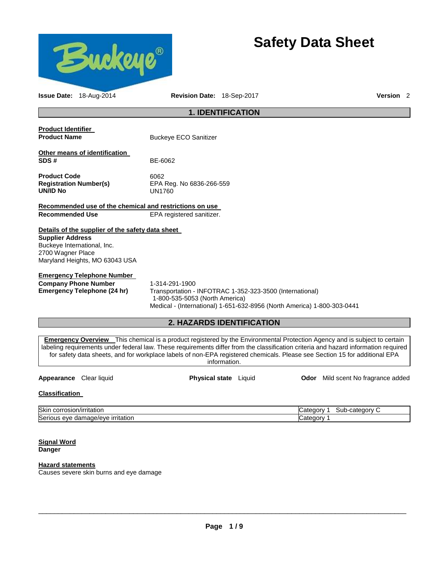

# **Safety Data Sheet**

| <b>Issue Date: 18-Aug-2014</b>                                                                                                                                                                                                                                                                                                                                                                                                   | <b>Revision Date: 18-Sep-2017</b>                                                                                                                                                       |                                              |                                    | <b>Version</b> 2 |
|----------------------------------------------------------------------------------------------------------------------------------------------------------------------------------------------------------------------------------------------------------------------------------------------------------------------------------------------------------------------------------------------------------------------------------|-----------------------------------------------------------------------------------------------------------------------------------------------------------------------------------------|----------------------------------------------|------------------------------------|------------------|
|                                                                                                                                                                                                                                                                                                                                                                                                                                  |                                                                                                                                                                                         | <b>1. IDENTIFICATION</b>                     |                                    |                  |
| <b>Product Identifier</b><br><b>Product Name</b>                                                                                                                                                                                                                                                                                                                                                                                 | <b>Buckeye ECO Sanitizer</b>                                                                                                                                                            |                                              |                                    |                  |
| Other means of identification<br>SDS#                                                                                                                                                                                                                                                                                                                                                                                            | BE-6062                                                                                                                                                                                 |                                              |                                    |                  |
| <b>Product Code</b><br><b>Registration Number(s)</b><br><b>UN/ID No</b>                                                                                                                                                                                                                                                                                                                                                          | 6062<br>EPA Reg. No 6836-266-559<br>UN1760                                                                                                                                              |                                              |                                    |                  |
| Recommended use of the chemical and restrictions on use                                                                                                                                                                                                                                                                                                                                                                          |                                                                                                                                                                                         |                                              |                                    |                  |
| <b>Recommended Use</b>                                                                                                                                                                                                                                                                                                                                                                                                           | EPA registered sanitizer.                                                                                                                                                               |                                              |                                    |                  |
| Details of the supplier of the safety data sheet                                                                                                                                                                                                                                                                                                                                                                                 |                                                                                                                                                                                         |                                              |                                    |                  |
| <b>Supplier Address</b><br>Buckeye International, Inc.<br>2700 Wagner Place<br>Maryland Heights, MO 63043 USA                                                                                                                                                                                                                                                                                                                    |                                                                                                                                                                                         |                                              |                                    |                  |
| <b>Emergency Telephone Number</b><br><b>Company Phone Number</b><br><b>Emergency Telephone (24 hr)</b>                                                                                                                                                                                                                                                                                                                           | 1-314-291-1900<br>Transportation - INFOTRAC 1-352-323-3500 (International)<br>1-800-535-5053 (North America)<br>Medical - (International) 1-651-632-8956 (North America) 1-800-303-0441 |                                              |                                    |                  |
|                                                                                                                                                                                                                                                                                                                                                                                                                                  | <b>2. HAZARDS IDENTIFICATION</b>                                                                                                                                                        |                                              |                                    |                  |
| <b>Emergency Overview</b> This chemical is a product registered by the Environmental Protection Agency and is subject to certain<br>labeling requirements under federal law. These requirements differ from the classification criteria and hazard information required<br>for safety data sheets, and for workplace labels of non-EPA registered chemicals. Please see Section 15 for additional EPA<br>Appearance Clear liquid |                                                                                                                                                                                         | information.<br><b>Physical state</b> Liquid | Odor Mild scent No fragrance added |                  |
| <b>Classification</b>                                                                                                                                                                                                                                                                                                                                                                                                            |                                                                                                                                                                                         |                                              |                                    |                  |

Skin corrosion/irritation Category Control of Category 1 Sub-category Control of Category Control of Category C Serious eye damage/eye irritation contract the contract of Category 1

**Signal Word Danger** 

# **Hazard statements**

Causes severe skin burns and eye damage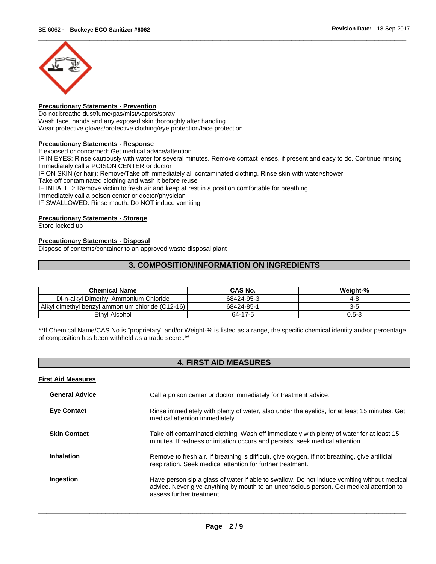

# **Precautionary Statements - Prevention**

Do not breathe dust/fume/gas/mist/vapors/spray Wash face, hands and any exposed skin thoroughly after handling Wear protective gloves/protective clothing/eye protection/face protection

# **Precautionary Statements - Response**

If exposed or concerned: Get medical advice/attention

IF IN EYES: Rinse cautiously with water for several minutes. Remove contact lenses, if present and easy to do. Continue rinsing Immediately call a POISON CENTER or doctor

IF ON SKIN (or hair): Remove/Take off immediately all contaminated clothing. Rinse skin with water/shower

Take off contaminated clothing and wash it before reuse

IF INHALED: Remove victim to fresh air and keep at rest in a position comfortable for breathing

Immediately call a poison center or doctor/physician

IF SWALLOWED: Rinse mouth. Do NOT induce vomiting

# **Precautionary Statements - Storage**

Store locked up

# **Precautionary Statements - Disposal**

Dispose of contents/container to an approved waste disposal plant

# **3. COMPOSITION/INFORMATION ON INGREDIENTS**

| <b>Chemical Name</b>                             | CAS No.    | Weight-%  |
|--------------------------------------------------|------------|-----------|
| Di-n-alkyl Dimethyl Ammonium Chloride            | 68424-95-3 | 4-8       |
| Alkyl dimethyl benzyl ammonium chloride (C12-16) | 68424-85-1 | 3-5       |
| Ethyl Alcohol                                    | 64-17-5    | $0.5 - 3$ |

\*\*If Chemical Name/CAS No is "proprietary" and/or Weight-% is listed as a range, the specific chemical identity and/or percentage of composition has been withheld as a trade secret.\*\*

# **4. FIRST AID MEASURES**

| <b>First Aid Measures</b> |                                                                                                                                                                                                                     |
|---------------------------|---------------------------------------------------------------------------------------------------------------------------------------------------------------------------------------------------------------------|
| <b>General Advice</b>     | Call a poison center or doctor immediately for treatment advice.                                                                                                                                                    |
| <b>Eve Contact</b>        | Rinse immediately with plenty of water, also under the eyelids, for at least 15 minutes. Get<br>medical attention immediately.                                                                                      |
| <b>Skin Contact</b>       | Take off contaminated clothing. Wash off immediately with plenty of water for at least 15<br>minutes. If redness or irritation occurs and persists, seek medical attention.                                         |
| <b>Inhalation</b>         | Remove to fresh air. If breathing is difficult, give oxygen. If not breathing, give artificial<br>respiration. Seek medical attention for further treatment.                                                        |
| Ingestion                 | Have person sip a glass of water if able to swallow. Do not induce vomiting without medical<br>advice. Never give anything by mouth to an unconscious person. Get medical attention to<br>assess further treatment. |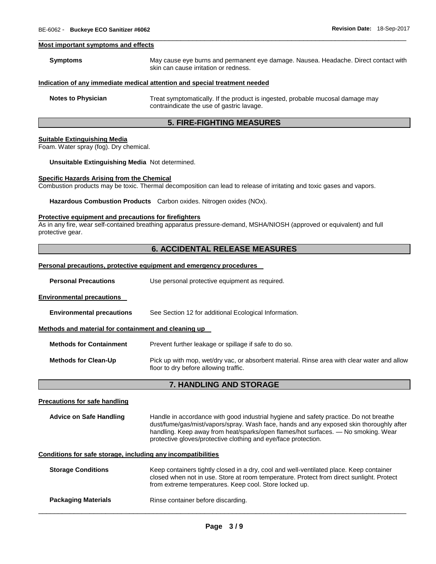#### **Most important symptoms and effects**

| Symptoms                  | May cause eye burns and permanent eye damage. Nausea. Headache. Direct contact with<br>skin can cause irritation or redness. |
|---------------------------|------------------------------------------------------------------------------------------------------------------------------|
|                           | Indication of any immediate medical attention and special treatment needed                                                   |
| <b>Notes to Physician</b> | Treat symptomatically. If the product is ingested, probable mucosal damage may<br>contraindicate the use of gastric lavage.  |

\_\_\_\_\_\_\_\_\_\_\_\_\_\_\_\_\_\_\_\_\_\_\_\_\_\_\_\_\_\_\_\_\_\_\_\_\_\_\_\_\_\_\_\_\_\_\_\_\_\_\_\_\_\_\_\_\_\_\_\_\_\_\_\_\_\_\_\_\_\_\_\_\_\_\_\_\_\_\_\_\_\_\_\_\_\_\_\_\_\_\_\_\_

# **5. FIRE-FIGHTING MEASURES**

# **Suitable Extinguishing Media**

Foam. Water spray (fog). Dry chemical.

### **Unsuitable Extinguishing Media** Not determined.

#### **Specific Hazards Arising from the Chemical**

Combustion products may be toxic. Thermal decomposition can lead to release of irritating and toxic gases and vapors.

**Hazardous Combustion Products** Carbon oxides. Nitrogen oxides (NOx).

# **Protective equipment and precautions for firefighters**

As in any fire, wear self-contained breathing apparatus pressure-demand, MSHA/NIOSH (approved or equivalent) and full protective gear.

# **6. ACCIDENTAL RELEASE MEASURES**

# **Personal precautions, protective equipment and emergency procedures**

| <b>Personal Precautions</b> | Use personal protective equipment as required. |  |
|-----------------------------|------------------------------------------------|--|
|-----------------------------|------------------------------------------------|--|

# **Environmental precautions**

| <b>Environmental precautions</b> | See Section 12 for additional Ecological Information. |
|----------------------------------|-------------------------------------------------------|
|----------------------------------|-------------------------------------------------------|

### **Methods and material for containment and cleaning up**

**Methods for Containment** Prevent further leakage or spillage if safe to do so.

**Methods for Clean-Up** Pick up with mop, wet/dry vac, or absorbent material. Rinse area with clear water and allow floor to dry before allowing traffic.

# **7. HANDLING AND STORAGE**

#### **Precautions for safe handling**

| <b>Advice on Safe Handling</b> | Handle in accordance with good industrial hygiene and safety practice. Do not breathe   |
|--------------------------------|-----------------------------------------------------------------------------------------|
|                                | dust/fume/gas/mist/vapors/spray. Wash face, hands and any exposed skin thoroughly after |
|                                | handling. Keep away from heat/sparks/open flames/hot surfaces. — No smoking. Wear       |
|                                | protective gloves/protective clothing and eye/face protection.                          |

#### **Conditions for safe storage, including any incompatibilities**

| <b>Storage Conditions</b>  | Keep containers tightly closed in a dry, cool and well-ventilated place. Keep container<br>closed when not in use. Store at room temperature. Protect from direct sunlight. Protect<br>from extreme temperatures. Keep cool. Store locked up. |
|----------------------------|-----------------------------------------------------------------------------------------------------------------------------------------------------------------------------------------------------------------------------------------------|
| <b>Packaging Materials</b> | Rinse container before discarding.                                                                                                                                                                                                            |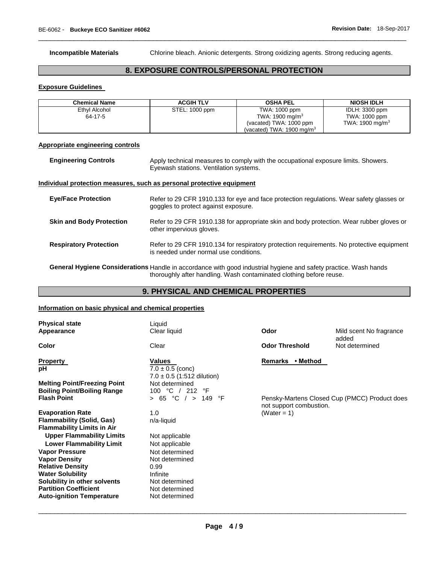**Incompatible Materials** Chlorine bleach. Anionic detergents. Strong oxidizing agents. Strong reducing agents.

# **8. EXPOSURE CONTROLS/PERSONAL PROTECTION**

\_\_\_\_\_\_\_\_\_\_\_\_\_\_\_\_\_\_\_\_\_\_\_\_\_\_\_\_\_\_\_\_\_\_\_\_\_\_\_\_\_\_\_\_\_\_\_\_\_\_\_\_\_\_\_\_\_\_\_\_\_\_\_\_\_\_\_\_\_\_\_\_\_\_\_\_\_\_\_\_\_\_\_\_\_\_\_\_\_\_\_\_\_

# **Exposure Guidelines**

| Chemical Name | <b>ACGIH TLV</b> | <b>OSHA PEL</b>                      | <b>NIOSH IDLH</b>  |
|---------------|------------------|--------------------------------------|--------------------|
| Ethyl Alcohol | STEL: 1000 ppm   | TWA: 1000 ppm                        | IDLH: 3300 ppm     |
| 64-17-5       |                  | TWA: 1900 mg/m $3$                   | TWA: 1000 ppm      |
|               |                  | (vacated) TWA: 1000 ppm              | TWA: 1900 mg/m $3$ |
|               |                  | (vacated) TWA: $1900 \text{ mg/m}^3$ |                    |

# **Appropriate engineering controls**

| <b>Engineering Controls</b> | Apply technical measures to comply with the occupational exposure limits. Showers. |
|-----------------------------|------------------------------------------------------------------------------------|
|                             | Eyewash stations. Ventilation systems.                                             |

# **Individual protection measures, such as personal protective equipment**

| <b>Eve/Face Protection</b>      | Refer to 29 CFR 1910.133 for eye and face protection regulations. Wear safety glasses or<br>goggles to protect against exposure.    |
|---------------------------------|-------------------------------------------------------------------------------------------------------------------------------------|
| <b>Skin and Body Protection</b> | Refer to 29 CFR 1910.138 for appropriate skin and body protection. Wear rubber gloves or<br>other impervious gloves.                |
| <b>Respiratory Protection</b>   | Refer to 29 CFR 1910.134 for respiratory protection requirements. No protective equipment<br>is needed under normal use conditions. |

**General Hygiene Considerations** Handle in accordance with good industrial hygiene and safety practice. Wash hands thoroughly after handling. Wash contaminated clothing before reuse.

# **9. PHYSICAL AND CHEMICAL PROPERTIES**

# **Information on basic physical and chemical properties**

| <b>Physical state</b><br>Appearance                                                                                                 | Liquid<br>Clear liquid                                                 | Odor                                      | Mild scent No fragrance<br>added              |
|-------------------------------------------------------------------------------------------------------------------------------------|------------------------------------------------------------------------|-------------------------------------------|-----------------------------------------------|
| <b>Color</b>                                                                                                                        | Clear                                                                  | <b>Odor Threshold</b>                     | Not determined                                |
| <b>Property</b><br>рH                                                                                                               | Values<br>$7.0 \pm 0.5$ (conc)<br>$7.0 \pm 0.5$ (1:512 dilution)       | Remarks • Method                          |                                               |
| <b>Melting Point/Freezing Point</b><br><b>Boiling Point/Boiling Range</b><br><b>Flash Point</b>                                     | Not determined<br>100 °C / 212<br>°F<br>> 65 °C / > 149<br>°F          |                                           | Pensky-Martens Closed Cup (PMCC) Product does |
| <b>Evaporation Rate</b><br><b>Flammability (Solid, Gas)</b><br><b>Flammability Limits in Air</b>                                    | 1.0<br>n/a-liquid                                                      | not support combustion.<br>(Water = $1$ ) |                                               |
| <b>Upper Flammability Limits</b><br><b>Lower Flammability Limit</b>                                                                 | Not applicable<br>Not applicable                                       |                                           |                                               |
| <b>Vapor Pressure</b><br><b>Vapor Density</b><br><b>Relative Density</b><br><b>Water Solubility</b><br>Solubility in other solvents | Not determined<br>Not determined<br>0.99<br>Infinite<br>Not determined |                                           |                                               |
| <b>Partition Coefficient</b><br><b>Auto-ignition Temperature</b>                                                                    | Not determined<br>Not determined                                       |                                           |                                               |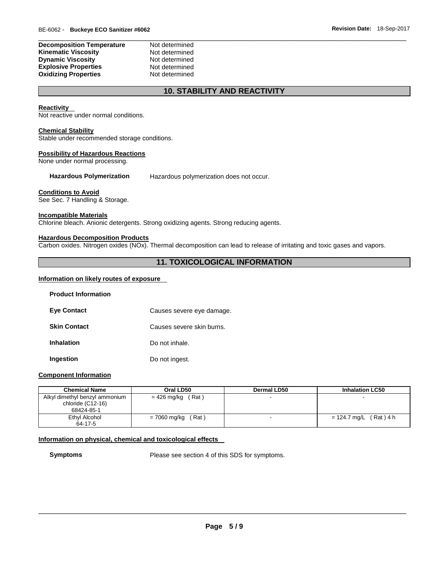| <b>Decomposition Temperature</b> | Not determined |
|----------------------------------|----------------|
| Kinematic Viscosity              | Not determined |
| <b>Dynamic Viscosity</b>         | Not determined |
| <b>Explosive Properties</b>      | Not determined |
| <b>Oxidizing Properties</b>      | Not determined |

# **10. STABILITY AND REACTIVITY**

# **Reactivity**

Not reactive under normal conditions.

### **Chemical Stability**

Stable under recommended storage conditions.

### **Possibility of Hazardous Reactions**

None under normal processing.

**Hazardous Polymerization** Hazardous polymerization does not occur.

# **Conditions to Avoid**

See Sec. 7 Handling & Storage.

# **Incompatible Materials**

Chlorine bleach. Anionic detergents. Strong oxidizing agents. Strong reducing agents.

# **Hazardous Decomposition Products**

Carbon oxides. Nitrogen oxides (NOx). Thermal decomposition can lead to release of irritating and toxic gases and vapors.

# **11. TOXICOLOGICAL INFORMATION**

# **Information on likely routes of exposure**

| <b>Product Information</b> |                           |
|----------------------------|---------------------------|
| <b>Eve Contact</b>         | Causes severe eye damage. |
| <b>Skin Contact</b>        | Causes severe skin burns. |
| <b>Inhalation</b>          | Do not inhale.            |
| Ingestion                  | Do not ingest.            |

# **Component Information**

| <b>Chemical Name</b>                                              | Oral LD50             | <b>Dermal LD50</b> | <b>Inhalation LC50</b>    |
|-------------------------------------------------------------------|-----------------------|--------------------|---------------------------|
| Alkyl dimethyl benzyl ammonium<br>chloride (C12-16)<br>68424-85-1 | (Rat)<br>= 426 mg/kg  |                    |                           |
| Ethyl Alcohol                                                     | (Rat)<br>= 7060 mg/kg |                    | (Rat) 4 h<br>= 124.7 mg/L |
| 64-17-5                                                           |                       |                    |                           |

# **Information on physical, chemical and toxicological effects**

**Symptoms** Please see section 4 of this SDS for symptoms.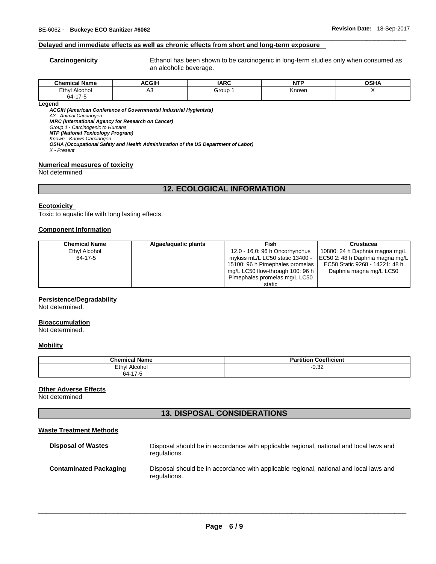# **Delayed and immediate effects as well as chronic effects from short and long-term exposure**

**Carcinogenicity** Ethanol has been shown to be carcinogenic in long-term studies only when consumed as an alcoholic beverage.

| - - -<br>ີhom.<br>Name<br>mıcal | <b>ACGIH</b> | <b>IARC</b> | $\sim$<br>M | <b>OSHA</b> |
|---------------------------------|--------------|-------------|-------------|-------------|
| Ethyl<br>Alcohol<br>.           | יר           | Group       | Known       |             |
| 64.17<br>$\ddot{\phantom{a}}$   |              |             |             |             |

\_\_\_\_\_\_\_\_\_\_\_\_\_\_\_\_\_\_\_\_\_\_\_\_\_\_\_\_\_\_\_\_\_\_\_\_\_\_\_\_\_\_\_\_\_\_\_\_\_\_\_\_\_\_\_\_\_\_\_\_\_\_\_\_\_\_\_\_\_\_\_\_\_\_\_\_\_\_\_\_\_\_\_\_\_\_\_\_\_\_\_\_\_

**Legend** 

*ACGIH (American Conference of Governmental Industrial Hygienists)*

*A3 - Animal Carcinogen* 

*IARC (International Agency for Research on Cancer)*

*Group 1 - Carcinogenic to Humans NTP (National Toxicology Program)*

*Known - Known Carcinogen* 

*OSHA (Occupational Safety and Health Administration of the US Department of Labor)*

*X - Present* 

# **Numerical measures of toxicity**

Not determined

# **12. ECOLOGICAL INFORMATION**

### **Ecotoxicity**

Toxic to aquatic life with long lasting effects.

# **Component Information**

| <b>Chemical Name</b> | Algae/aquatic plants | Fish                             | Crustacea                       |
|----------------------|----------------------|----------------------------------|---------------------------------|
| Ethyl Alcohol        |                      | 12.0 - 16.0: 96 h Oncorhynchus   | 10800: 24 h Daphnia magna mg/L  |
| 64-17-5              |                      | mykiss mL/L LC50 static 13400 -  | EC50 2: 48 h Daphnia magna mg/L |
|                      |                      | 15100: 96 h Pimephales promelas  | EC50 Static 9268 - 14221: 48 h  |
|                      |                      | mg/L LC50 flow-through 100: 96 h | Daphnia magna mg/L LC50         |
|                      |                      | Pimephales promelas mg/L LC50    |                                 |
|                      |                      | static                           |                                 |

# **Persistence/Degradability**

Not determined.

# **Bioaccumulation**

Not determined.

# **Mobility**

| <b>Chemical Name</b> | <b>Coefficient</b><br>Partition |
|----------------------|---------------------------------|
| Ethyl<br>Alcohol     | $-0.32$                         |
| 64-17-5              |                                 |

### **Other Adverse Effects**

Not determined

# **13. DISPOSAL CONSIDERATIONS**

# **Waste Treatment Methods**

| <b>Disposal of Wastes</b>     | Disposal should be in accordance with applicable regional, national and local laws and<br>regulations. |
|-------------------------------|--------------------------------------------------------------------------------------------------------|
| <b>Contaminated Packaging</b> | Disposal should be in accordance with applicable regional, national and local laws and<br>regulations. |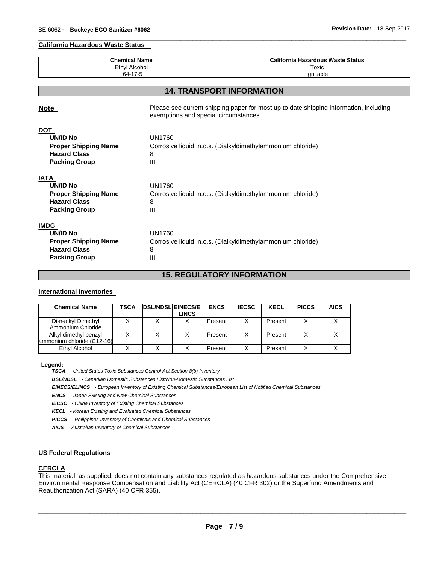# **California Hazardous Waste Status**

| <b>Chemical Name</b>        |                                                                                                                                | <b>California Hazardous Waste Status</b>                    |  |  |
|-----------------------------|--------------------------------------------------------------------------------------------------------------------------------|-------------------------------------------------------------|--|--|
| <b>Ethyl Alcohol</b>        |                                                                                                                                | Toxic                                                       |  |  |
| 64-17-5                     |                                                                                                                                | lgnitable                                                   |  |  |
|                             |                                                                                                                                |                                                             |  |  |
|                             | <b>14. TRANSPORT INFORMATION</b>                                                                                               |                                                             |  |  |
| Note                        | Please see current shipping paper for most up to date shipping information, including<br>exemptions and special circumstances. |                                                             |  |  |
| <b>DOT</b>                  |                                                                                                                                |                                                             |  |  |
| <b>UN/ID No</b>             | <b>UN1760</b>                                                                                                                  |                                                             |  |  |
| <b>Proper Shipping Name</b> |                                                                                                                                | Corrosive liquid, n.o.s. (Dialkyldimethylammonium chloride) |  |  |
| <b>Hazard Class</b>         | 8                                                                                                                              |                                                             |  |  |
| <b>Packing Group</b>        | III                                                                                                                            |                                                             |  |  |
| IATA                        |                                                                                                                                |                                                             |  |  |
| <b>UN/ID No</b>             | UN1760                                                                                                                         |                                                             |  |  |
| <b>Proper Shipping Name</b> | Corrosive liquid, n.o.s. (Dialkyldimethylammonium chloride)                                                                    |                                                             |  |  |
| <b>Hazard Class</b>         | 8                                                                                                                              |                                                             |  |  |
| <b>Packing Group</b>        | $\mathbf{III}$                                                                                                                 |                                                             |  |  |
| <b>IMDG</b>                 |                                                                                                                                |                                                             |  |  |
| <b>UN/ID No</b>             | <b>UN1760</b>                                                                                                                  |                                                             |  |  |
| <b>Proper Shipping Name</b> |                                                                                                                                | Corrosive liquid, n.o.s. (Dialkyldimethylammonium chloride) |  |  |
| <b>Hazard Class</b>         | 8                                                                                                                              |                                                             |  |  |
| <b>Packing Group</b>        | Ш                                                                                                                              |                                                             |  |  |

\_\_\_\_\_\_\_\_\_\_\_\_\_\_\_\_\_\_\_\_\_\_\_\_\_\_\_\_\_\_\_\_\_\_\_\_\_\_\_\_\_\_\_\_\_\_\_\_\_\_\_\_\_\_\_\_\_\_\_\_\_\_\_\_\_\_\_\_\_\_\_\_\_\_\_\_\_\_\_\_\_\_\_\_\_\_\_\_\_\_\_\_\_

# **15. REGULATORY INFORMATION**

# **International Inventories**

| <b>Chemical Name</b>                                | TSCA | <b>DSL/NDSL EINECS/E</b> | <b>LINCS</b> | <b>ENCS</b> | <b>IECSC</b> | <b>KECL</b> | <b>PICCS</b> | <b>AICS</b> |
|-----------------------------------------------------|------|--------------------------|--------------|-------------|--------------|-------------|--------------|-------------|
| Di-n-alkyl Dimethyl<br>Ammonium Chloride            |      |                          |              | Present     |              | Present     |              |             |
| Alkyl dimethyl benzyl<br>ammonium chloride (C12-16) |      |                          |              | Present     | X            | Present     |              |             |
| Ethyl Alcohol                                       |      |                          |              | Present     | X            | Present     |              |             |

### **Legend:**

*TSCA - United States Toxic Substances Control Act Section 8(b) Inventory* 

*DSL/NDSL - Canadian Domestic Substances List/Non-Domestic Substances List* 

*EINECS/ELINCS - European Inventory of Existing Chemical Substances/European List of Notified Chemical Substances* 

*ENCS - Japan Existing and New Chemical Substances* 

*IECSC - China Inventory of Existing Chemical Substances* 

*KECL - Korean Existing and Evaluated Chemical Substances* 

*PICCS - Philippines Inventory of Chemicals and Chemical Substances* 

*AICS - Australian Inventory of Chemical Substances* 

# **US Federal Regulations**

#### **CERCLA**

This material, as supplied, does not contain any substances regulated as hazardous substances under the Comprehensive Environmental Response Compensation and Liability Act (CERCLA) (40 CFR 302) or the Superfund Amendments and Reauthorization Act (SARA) (40 CFR 355).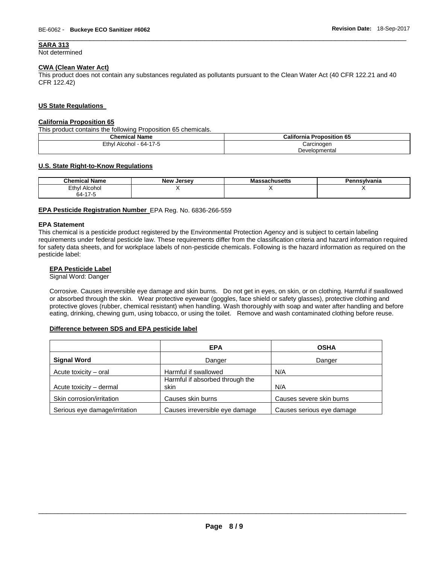# **SARA 313**

Not determined

# **CWA (Clean Water Act)**

This product does not contain any substances regulated as pollutants pursuant to the Clean Water Act (40 CFR 122.21 and 40 CFR 122.42)

\_\_\_\_\_\_\_\_\_\_\_\_\_\_\_\_\_\_\_\_\_\_\_\_\_\_\_\_\_\_\_\_\_\_\_\_\_\_\_\_\_\_\_\_\_\_\_\_\_\_\_\_\_\_\_\_\_\_\_\_\_\_\_\_\_\_\_\_\_\_\_\_\_\_\_\_\_\_\_\_\_\_\_\_\_\_\_\_\_\_\_\_\_

# **US State Regulations**

# **California Proposition 65**

This product contains the following Proposition 65 chemicals.

| <b>Chemical Name</b>    | <b>California Proposition 65</b> |
|-------------------------|----------------------------------|
| Ethyl Alcohol - 64-17-5 | Carcinogen                       |
|                         | Developmental                    |

# **U.S. State Right-to-Know Regulations**

| <b>Chemical Name</b>          | <b>New Jersey</b> | ssachusetts<br>ма | Pennsvlvania |
|-------------------------------|-------------------|-------------------|--------------|
| Ethyl Alcohol                 |                   | . .               |              |
| $\overline{A}$<br>64-<br>17 C |                   |                   |              |

### **EPA Pesticide Registration Number** EPA Reg. No. 6836-266-559

### **EPA Statement**

This chemical is a pesticide product registered by the Environmental Protection Agency and is subject to certain labeling requirements under federal pesticide law. These requirements differ from the classification criteria and hazard information required for safety data sheets, and for workplace labels of non-pesticide chemicals. Following is the hazard information as required on the pesticide label:

# **EPA Pesticide Label**

Signal Word: Danger

Corrosive. Causes irreversible eye damage and skin burns. Do not get in eyes, on skin, or on clothing. Harmful if swallowed or absorbed through the skin. Wear protective eyewear (goggles, face shield or safety glasses), protective clothing and protective gloves (rubber, chemical resistant) when handling. Wash thoroughly with soap and water after handling and before eating, drinking, chewing gum, using tobacco, or using the toilet. Remove and wash contaminated clothing before reuse.

# **Difference between SDS and EPA pesticide label**

|                               | <b>EPA</b>                              | <b>OSHA</b>               |
|-------------------------------|-----------------------------------------|---------------------------|
| <b>Signal Word</b>            | Danger                                  | Danger                    |
| Acute toxicity - oral         | Harmful if swallowed                    | N/A                       |
| Acute toxicity - dermal       | Harmful if absorbed through the<br>skin | N/A                       |
| Skin corrosion/irritation     | Causes skin burns                       | Causes severe skin burns  |
| Serious eye damage/irritation | Causes irreversible eye damage          | Causes serious eye damage |